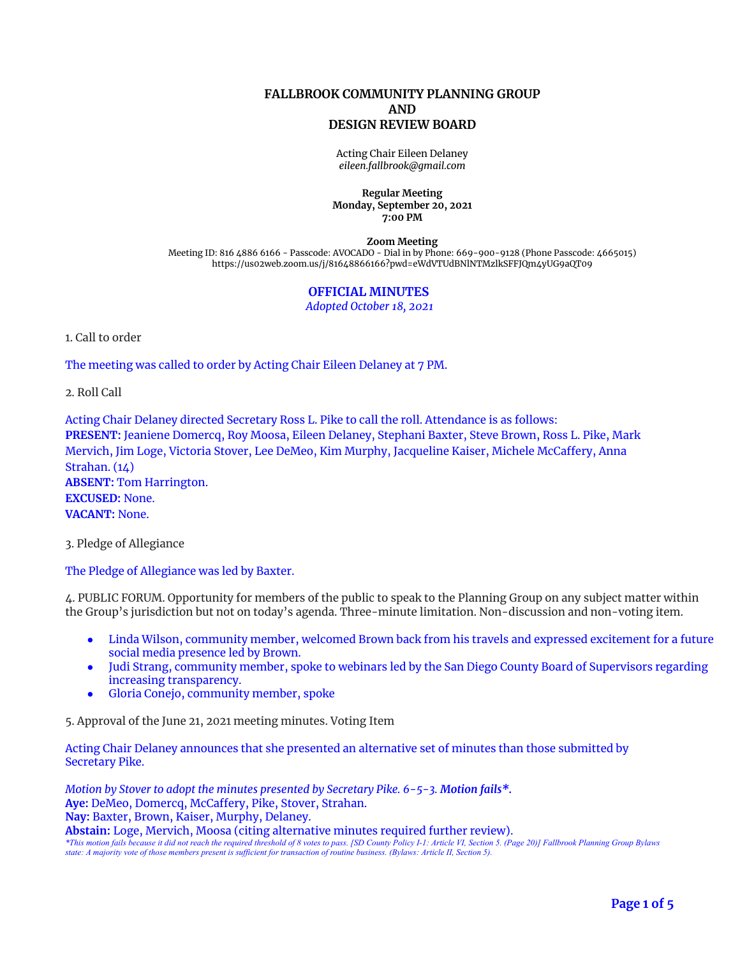## **FALLBROOK COMMUNITY PLANNING GROUP AND DESIGN REVIEW BOARD**

Acting Chair Eileen Delaney *[eileen.fallbrook@gmail.com](mailto:eileen.fallbrook@gmail.com)*

#### **Regular Meeting Monday, September 20, 2021 7:00 PM**

**Zoom Meeting**

Meeting ID: 816 4886 6166 - Passcode: AVOCADO - Dial in by Phone: 669-900-9128 (Phone Passcode: 4665015) <https://us02web.zoom.us/j/81648866166?pwd=eWdVTUdBNlNTMzlkSFFJQm4yUG9aQT09>

# **OFFICIAL MINUTES**

*Adopted October 18, 2021*

1. Call to order

The meeting was called to order by Acting Chair Eileen Delaney at 7 PM.

2. Roll Call

Acting Chair Delaney directed Secretary Ross L. Pike to call the roll. Attendance is as follows: **PRESENT:** Jeaniene Domercq, Roy Moosa, Eileen Delaney, Stephani Baxter, Steve Brown, Ross L. Pike, Mark Mervich, Jim Loge, Victoria Stover, Lee DeMeo, Kim Murphy, Jacqueline Kaiser, Michele McCaffery, Anna Strahan. (14) **ABSENT:** Tom Harrington. **EXCUSED:** None. **VACANT:** None.

3. Pledge of Allegiance

The Pledge of Allegiance was led by Baxter.

4. PUBLIC FORUM. Opportunity for members of the public to speak to the Planning Group on any subject matter within the Group's jurisdiction but not on today's agenda. Three-minute limitation. Non-discussion and non-voting item.

- Linda Wilson, community member, welcomed Brown back from his travels and expressed excitement for a future social media presence led by Brown.
- Judi Strang, community member, spoke to webinars led by the San Diego County Board of Supervisors regarding increasing transparency.
- Gloria Conejo, community member, spoke

5. Approval of the June 21, 2021 meeting minutes. Voting Item

Acting Chair Delaney announces that she presented an alternative set of minutes than those submitted by Secretary Pike.

*Motion by Stover to adopt the minutes presented by Secretary Pike. 6-5-3. Motion fails\*.* **Aye:** DeMeo, Domercq, McCaffery, Pike, Stover, Strahan. **Nay:** Baxter, Brown, Kaiser, Murphy, Delaney. **Abstain:** Loge, Mervich, Moosa (citing alternative minutes required further review).

\*This motion fails because it did not reach the required threshold of 8 votes to pass. [SD County Policy I-1: Article VI, Section 5. (Page 20)] Fallbrook Planning Group Bylaws state: A majority vote of those members present is sufficient for transaction of routine business. (Bylaws: Article II, Section 5).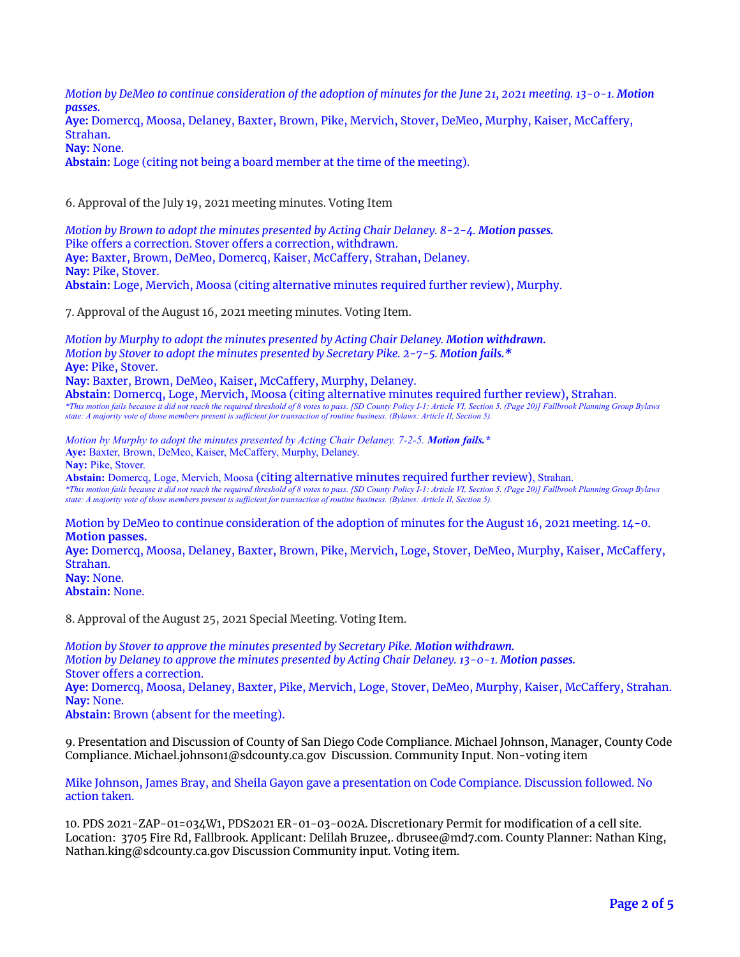Motion by DeMeo to continue consideration of the adoption of minutes for the June 21, 2021 meeting. 13-0-1. Motion *passes.* **Aye:** Domercq, Moosa, Delaney, Baxter, Brown, Pike, Mervich, Stover, DeMeo, Murphy, Kaiser, McCaffery, Strahan.

**Nay:** None.

**Abstain:** Loge (citing not being a board member at the time of the meeting).

6. Approval of the July 19, 2021 meeting minutes. Voting Item

*Motion by Brown to adopt the minutes presented by Acting Chair Delaney. 8-2-4. Motion passes.* Pike offers a correction. Stover offers a correction, withdrawn. **Aye:** Baxter, Brown, DeMeo, Domercq, Kaiser, McCaffery, Strahan, Delaney. **Nay:** Pike, Stover. **Abstain:** Loge, Mervich, Moosa (citing alternative minutes required further review), Murphy.

7. Approval of the August 16, 2021 meeting minutes. Voting Item.

*Motion by Murphy to adopt the minutes presented by Acting Chair Delaney. Motion withdrawn. Motion by Stover to adopt the minutes presented by Secretary Pike. 2-7-5. Motion fails.\** **Aye:** Pike, Stover. **Nay:** Baxter, Brown, DeMeo, Kaiser, McCaffery, Murphy, Delaney. **Abstain:** Domercq, Loge, Mervich, Moosa (citing alternative minutes required further review), Strahan. \*This motion fails because it did not reach the required threshold of 8 votes to pass. [SD County Policy I-1: Article VI, Section 5. (Page 20)] Fallbrook Planning Group Bylaws state: A majority vote of those members present is sufficient for transaction of routine business. (Bylaws: Article II, Section 5).

*Motion by Murphy to adopt the minutes presented by Acting Chair Delaney. 7-2-5. Motion fails.\** **Aye:** Baxter, Brown, DeMeo, Kaiser, McCaffery, Murphy, Delaney.

**Nay:** Pike, Stover.

**Abstain:** Domercq, Loge, Mervich, Moosa (citing alternative minutes required further review), Strahan. \*This motion fails because it did not reach the required threshold of 8 votes to pass. [SD County Policy I-1: Article VI, Section 5. (Page 20)] Fallbrook Planning Group Bylaws state: A majority vote of those members present is sufficient for transaction of routine business. (Bylaws: Article II, Section 5).

Motion by DeMeo to continue consideration of the adoption of minutes for the August 16, 2021 meeting. 14-0. **Motion passes.**

**Aye:** Domercq, Moosa, Delaney, Baxter, Brown, Pike, Mervich, Loge, Stover, DeMeo, Murphy, Kaiser, McCaffery, Strahan. **Nay:** None.

**Abstain:** None.

8. Approval of the August 25, 2021 Special Meeting. Voting Item.

*Motion by Stover to approve the minutes presented by Secretary Pike. Motion withdrawn. Motion by Delaney to approve the minutes presented by Acting Chair Delaney. 13-0-1. Motion passes.* Stover offers a correction.

**Aye:** Domercq, Moosa, Delaney, Baxter, Pike, Mervich, Loge, Stover, DeMeo, Murphy, Kaiser, McCaffery, Strahan. **Nay:** None.

**Abstain:** Brown (absent for the meeting).

9. Presentation and Discussion of County of San Diego Code Compliance. Michael Johnson, Manager, County Code Compliance. [Michael.johnson1@sdcounty.ca.gov](mailto:Michael.johnson1@sdcounty.ca.gov) Discussion. Community Input. Non-voting item

Mike Johnson, James Bray, and Sheila Gayon gave a presentation on Code Compiance. Discussion followed. No action taken.

10. PDS 2021-ZAP-01=034W1, PDS2021 ER-01-03-002A. Discretionary Permit for modification of a cell site. Location: 3705 Fire Rd, Fallbrook. Applicant: Delilah Bruzee,. [dbrusee@md7.com](mailto:dbrusee@md7.com). County Planner: Nathan King, [Nathan.king@sdcounty.ca.gov](mailto:Nathan.king@sdcounty.ca.gov) Discussion Community input. Voting item.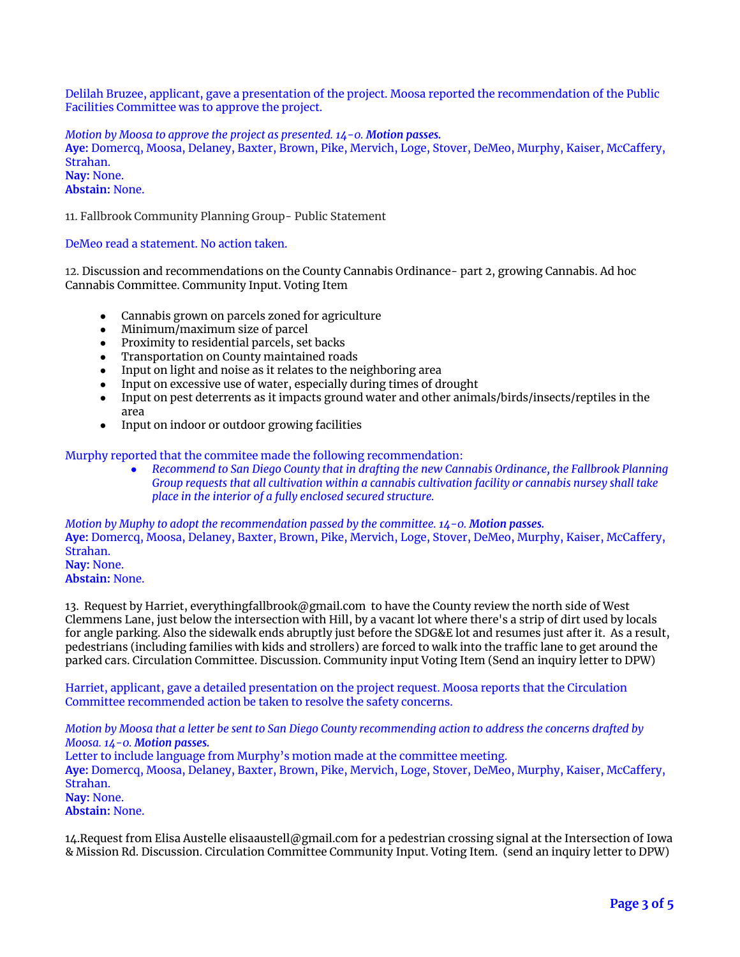Delilah Bruzee, applicant, gave a presentation of the project. Moosa reported the recommendation of the Public Facilities Committee was to approve the project.

*Motion by Moosa to approve the project as presented. 14-0. Motion passes.* **Aye:** Domercq, Moosa, Delaney, Baxter, Brown, Pike, Mervich, Loge, Stover, DeMeo, Murphy, Kaiser, McCaffery, Strahan. **Nay:** None. **Abstain:** None.

11. Fallbrook Community Planning Group- Public Statement

DeMeo read a statement. No action taken.

12. Discussion and recommendations on the County Cannabis Ordinance- part 2, growing Cannabis. Ad hoc Cannabis Committee. Community Input. Voting Item

- Cannabis grown on parcels zoned for agriculture
- Minimum/maximum size of parcel
- Proximity to residential parcels, set backs
- Transportation on County maintained roads<br>• Input on light and noise as it relates to the ne
- Input on light and noise as it relates to the neighboring area
- Input on excessive use of water, especially during times of drought
- Input on pest deterrents as it impacts ground water and other animals/birds/insects/reptiles in the area
- Input on indoor or outdoor growing facilities

Murphy reported that the commitee made the following recommendation:

*● Recommend to San Diego County that in drafting the new Cannabis Ordinance, the Fallbrook Planning Group requests that all cultivation within a cannabis cultivation facility or cannabis nursey shall take place in the interior of a fully enclosed secured structure.*

*Motion by Muphy to adopt the recommendation passed by the committee. 14-0. Motion passes.* **Aye:** Domercq, Moosa, Delaney, Baxter, Brown, Pike, Mervich, Loge, Stover, DeMeo, Murphy, Kaiser, McCaffery, Strahan. **Nay:** None. **Abstain:** None.

13. Request by Harriet, [everythingfallbrook@gmail.com](mailto:everythingfallbrook@gmail.com) to have the County review the north side of West Clemmens Lane, just below the intersection with Hill, by a vacant lot where there's a strip of dirt used by locals for angle parking. Also the sidewalk ends abruptly just before the SDG&E lot and resumes just after it. As a result, pedestrians (including families with kids and strollers) are forced to walk into the traffic lane to get around the parked cars. Circulation Committee. Discussion. Community input Voting Item (Send an inquiry letter to DPW)

Harriet, applicant, gave a detailed presentation on the project request. Moosa reports that the Circulation Committee recommended action be taken to resolve the safety concerns.

Motion by Moosa that a letter be sent to San Diego County recommending action to address the concerns drafted by *Moosa. 14-0. Motion passes.*

Letter to include language from Murphy's motion made at the committee meeting.

**Aye:** Domercq, Moosa, Delaney, Baxter, Brown, Pike, Mervich, Loge, Stover, DeMeo, Murphy, Kaiser, McCaffery, Strahan.

**Nay:** None.

**Abstain:** None.

14.Request from Elisa Austelle [elisaaustell@gmail.com](mailto:elisaaustell@gmail.com) for a pedestrian crossing signal at the Intersection of Iowa & Mission Rd. Discussion. Circulation Committee Community Input. Voting Item. (send an inquiry letter to DPW)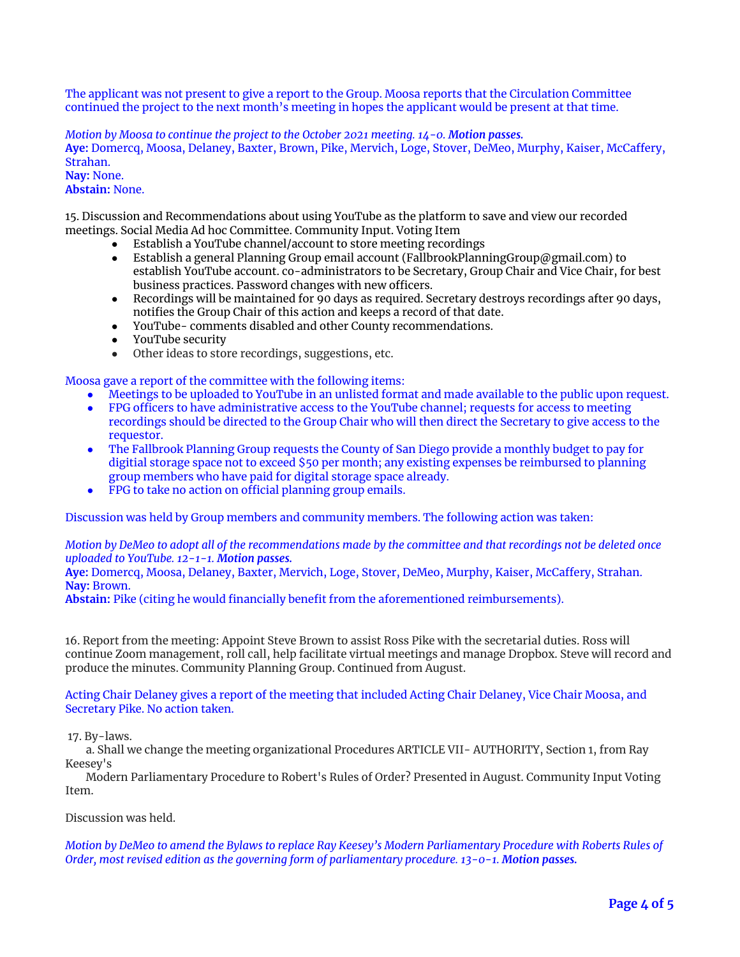The applicant was not present to give a report to the Group. Moosa reports that the Circulation Committee continued the project to the next month's meeting in hopes the applicant would be present at that time.

*Motion by Moosa to continue the project to the October 2021 meeting. 14-0. Motion passes.* **Aye:** Domercq, Moosa, Delaney, Baxter, Brown, Pike, Mervich, Loge, Stover, DeMeo, Murphy, Kaiser, McCaffery, Strahan. **Nay:** None.

### **Abstain:** None.

15. Discussion and Recommendations about using YouTube as the platform to save and view our recorded meetings. Social Media Ad hoc Committee. Community Input. Voting Item

- Establish a YouTube channel/account to store meeting recordings
- Establish a general Planning Group email account [\(FallbrookPlanningGroup@gmail.com](mailto:FallbrookPlanningGroup@gmail.com)) to establish YouTube account. co-administrators to be Secretary, Group Chair and Vice Chair, for best business practices. Password changes with new officers.
- Recordings will be maintained for 90 days as required. Secretary destroys recordings after 90 days, notifies the Group Chair of this action and keeps a record of that date.
- YouTube- comments disabled and other County recommendations.
- YouTube security
- Other ideas to store recordings, suggestions, etc.

Moosa gave a report of the committee with the following items:

- Meetings to be uploaded to YouTube in an unlisted format and made available to the public upon request.
- FPG officers to have administrative access to the YouTube channel; requests for access to meeting recordings should be directed to the Group Chair who will then direct the Secretary to give access to the requestor.
- The Fallbrook Planning Group requests the County of San Diego provide a monthly budget to pay for digitial storage space not to exceed \$50 per month; any existing expenses be reimbursed to planning group members who have paid for digital storage space already.
- FPG to take no action on official planning group emails.

Discussion was held by Group members and community members. The following action was taken:

Motion by DeMeo to adopt all of the recommendations made by the committee and that recordings not be deleted once *uploaded to YouTube. 12-1-1. Motion passes.*

**Aye:** Domercq, Moosa, Delaney, Baxter, Mervich, Loge, Stover, DeMeo, Murphy, Kaiser, McCaffery, Strahan. **Nay:** Brown.

**Abstain:** Pike (citing he would financially benefit from the aforementioned reimbursements).

16. Report from the meeting: Appoint Steve Brown to assist Ross Pike with the secretarial duties. Ross will continue Zoom management, roll call, help facilitate virtual meetings and manage Dropbox. Steve will record and produce the minutes. Community Planning Group. Continued from August.

Acting Chair Delaney gives a report of the meeting that included Acting Chair Delaney, Vice Chair Moosa, and Secretary Pike. No action taken.

#### 17. By-laws.

a. Shall we change the meeting organizational Procedures ARTICLE VII- AUTHORITY, Section 1, from Ray Keesey's

Modern Parliamentary Procedure to Robert's Rules of Order? Presented in August. Community Input Voting Item.

Discussion was held.

Motion by DeMeo to amend the Bylaws to replace Ray Keesey's Modern Parliamentary Procedure with Roberts Rules of *Order, most revised edition as the governing form of parliamentary procedure. 13-0-1. Motion passes.*